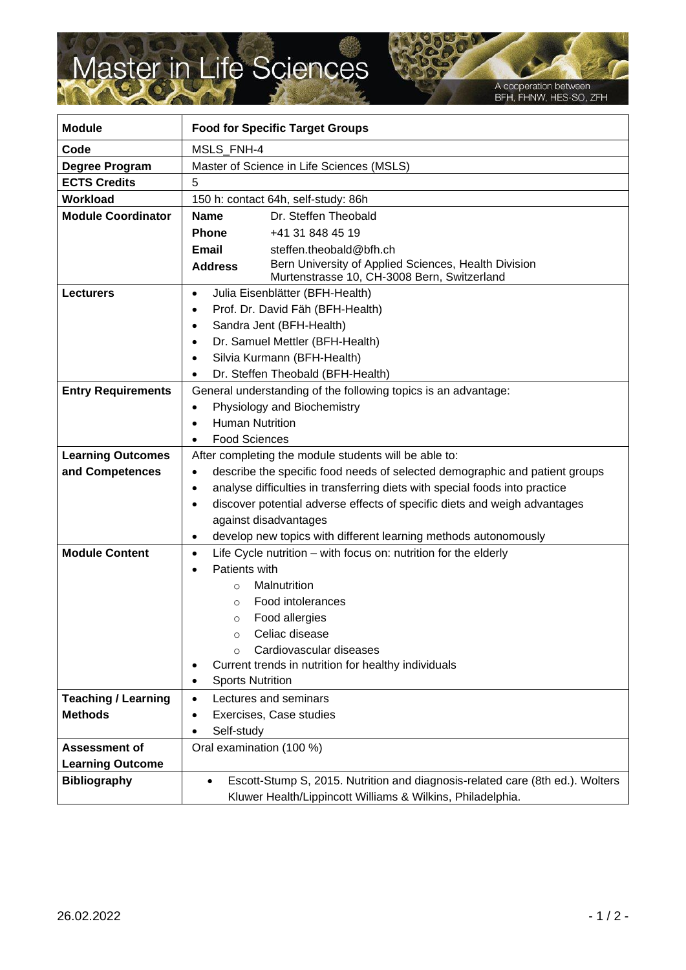## Master in Life Sciences

A cooperation between<br>BFH, FHNW, HES-SO, ZFH

| <b>Module</b>              | <b>Food for Specific Target Groups</b>                                                                                |
|----------------------------|-----------------------------------------------------------------------------------------------------------------------|
| Code                       | <b>MSLS FNH-4</b>                                                                                                     |
| Degree Program             | Master of Science in Life Sciences (MSLS)                                                                             |
| <b>ECTS Credits</b>        | 5                                                                                                                     |
| <b>Workload</b>            | 150 h: contact 64h, self-study: 86h                                                                                   |
| <b>Module Coordinator</b>  | Dr. Steffen Theobald<br><b>Name</b>                                                                                   |
|                            | <b>Phone</b><br>+41 31 848 45 19                                                                                      |
|                            | Email<br>steffen.theobald@bfh.ch                                                                                      |
|                            | Bern University of Applied Sciences, Health Division<br><b>Address</b><br>Murtenstrasse 10, CH-3008 Bern, Switzerland |
| <b>Lecturers</b>           | Julia Eisenblätter (BFH-Health)<br>$\bullet$                                                                          |
|                            | Prof. Dr. David Fäh (BFH-Health)<br>$\bullet$                                                                         |
|                            | Sandra Jent (BFH-Health)<br>$\bullet$                                                                                 |
|                            | Dr. Samuel Mettler (BFH-Health)<br>$\bullet$                                                                          |
|                            | Silvia Kurmann (BFH-Health)<br>$\bullet$                                                                              |
|                            | Dr. Steffen Theobald (BFH-Health)                                                                                     |
| <b>Entry Requirements</b>  | General understanding of the following topics is an advantage:                                                        |
|                            | Physiology and Biochemistry<br>$\bullet$                                                                              |
|                            | <b>Human Nutrition</b><br>$\bullet$                                                                                   |
|                            | <b>Food Sciences</b><br>$\bullet$                                                                                     |
| <b>Learning Outcomes</b>   | After completing the module students will be able to:                                                                 |
| and Competences            | describe the specific food needs of selected demographic and patient groups<br>$\bullet$                              |
|                            | analyse difficulties in transferring diets with special foods into practice<br>$\bullet$                              |
|                            | discover potential adverse effects of specific diets and weigh advantages<br>$\bullet$                                |
|                            | against disadvantages                                                                                                 |
|                            | develop new topics with different learning methods autonomously<br>$\bullet$                                          |
| <b>Module Content</b>      | Life Cycle nutrition – with focus on: nutrition for the elderly<br>$\bullet$                                          |
|                            | Patients with<br>$\bullet$                                                                                            |
|                            | Malnutrition<br>$\circ$                                                                                               |
|                            | Food intolerances<br>$\circ$                                                                                          |
|                            | Food allergies<br>$\circ$                                                                                             |
|                            | Celiac disease                                                                                                        |
|                            | Cardiovascular diseases<br>$\Omega$                                                                                   |
|                            | Current trends in nutrition for healthy individuals<br>٠                                                              |
|                            | <b>Sports Nutrition</b><br>$\bullet$                                                                                  |
| <b>Teaching / Learning</b> | Lectures and seminars<br>$\bullet$                                                                                    |
| <b>Methods</b>             | Exercises, Case studies<br>$\bullet$                                                                                  |
|                            | Self-study<br>$\bullet$                                                                                               |
| <b>Assessment of</b>       | Oral examination (100 %)                                                                                              |
| <b>Learning Outcome</b>    |                                                                                                                       |
| <b>Bibliography</b>        | Escott-Stump S, 2015. Nutrition and diagnosis-related care (8th ed.). Wolters<br>$\bullet$                            |
|                            | Kluwer Health/Lippincott Williams & Wilkins, Philadelphia.                                                            |